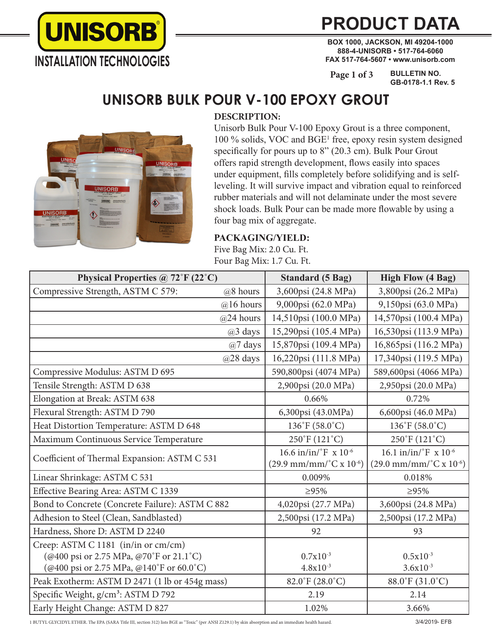

## **PRODUCT DATA**

**BOX 1000, JACKSON, MI 49204-1000 888-4-UNISORB • 517-764-6060 FAX 517-764-5607 • www.unisorb.com**

**BULLETIN NO. GB-0178-1.1 Rev. 5 Page 1 of 3**

### **UNISORB BULK POUR V-100 EPOXY GROUT**



### **DESCRIPTION:**

Unisorb Bulk Pour V-100 Epoxy Grout is a three component, 100 % solids, VOC and BGE1 free, epoxy resin system designed specifically for pours up to 8" (20.3 cm). Bulk Pour Grout offers rapid strength development, flows easily into spaces under equipment, fills completely before solidifying and is selfleveling. It will survive impact and vibration equal to reinforced rubber materials and will not delaminate under the most severe shock loads. Bulk Pour can be made more flowable by using a four bag mix of aggregate.

### **PACKAGING/YIELD:**

Five Bag Mix: 2.0 Cu. Ft. Four Bag Mix: 1.7 Cu. Ft.

| Physical Properties @ 72°F (22°C)               | <b>Standard (5 Bag)</b>                             | <b>High Flow (4 Bag)</b>                            |
|-------------------------------------------------|-----------------------------------------------------|-----------------------------------------------------|
| Compressive Strength, ASTM C 579:<br>@8 hours   | 3,600psi (24.8 MPa)                                 | 3,800psi (26.2 MPa)                                 |
| $@16$ hours                                     | 9,000psi (62.0 MPa)                                 | 9,150psi (63.0 MPa)                                 |
| $@24$ hours                                     | 14,510psi (100.0 MPa)                               | 14,570psi (100.4 MPa)                               |
| @3 days                                         | 15,290psi (105.4 MPa)                               | 16,530psi (113.9 MPa)                               |
| @7 days                                         | 15,870psi (109.4 MPa)                               | 16,865psi (116.2 MPa)                               |
| @28 days                                        | 16,220psi (111.8 MPa)                               | 17,340psi (119.5 MPa)                               |
| Compressive Modulus: ASTM D 695                 | 590,800psi (4074 MPa)                               | 589,600psi (4066 MPa)                               |
| Tensile Strength: ASTM D 638                    | 2,900psi (20.0 MPa)                                 | 2,950psi (20.0 MPa)                                 |
| Elongation at Break: ASTM 638                   | 0.66%                                               | 0.72%                                               |
| Flexural Strength: ASTM D 790                   | 6,300psi (43.0MPa)                                  | 6,600psi (46.0 MPa)                                 |
| Heat Distortion Temperature: ASTM D 648         | $136^{\circ}F(58.0^{\circ}C)$                       | $136^{\circ}F(58.0^{\circ}C)$                       |
| Maximum Continuous Service Temperature          | 250°F (121°C)                                       | 250°F (121°C)                                       |
| Coefficient of Thermal Expansion: ASTM C 531    | $16.6 \text{ in/in}/^{\circ}$ F x $10^{-6}$         | $16.1 \text{ in/in}/^{\circ}$ F x $10^{-6}$         |
|                                                 | $(29.9 \text{ mm/mm} / {}^{\circ}C \times 10^{-6})$ | $(29.0 \text{ mm/mm}/^{\circ} \text{C x } 10^{-6})$ |
| Linear Shrinkage: ASTM C 531                    | 0.009%                                              | 0.018%                                              |
| Effective Bearing Area: ASTM C 1339             | $\geq 95\%$                                         | $\geq 95\%$                                         |
| Bond to Concrete (Concrete Failure): ASTM C 882 | 4,020psi (27.7 MPa)                                 | 3,600psi (24.8 MPa)                                 |
| Adhesion to Steel (Clean, Sandblasted)          | 2,500psi (17.2 MPa)                                 | 2,500psi (17.2 MPa)                                 |
| Hardness, Shore D: ASTM D 2240                  | 92                                                  | 93                                                  |
| Creep: ASTM C 1181 (in/in or cm/cm)             |                                                     |                                                     |
| (@400 psi or 2.75 MPa, @70°F or 21.1°C)         | $0.7x10^{-3}$                                       | $0.5x10^{-3}$                                       |
| (@400 psi or 2.75 MPa, @140°F or 60.0°C)        | $4.8x10^{-3}$                                       | $3.6x10^{-3}$                                       |
| Peak Exotherm: ASTM D 2471 (1 lb or 454g mass)  | $82.0^{\circ}$ F (28.0 $^{\circ}$ C)                | 88.0°F (31.0°C)                                     |
| Specific Weight, g/cm <sup>3</sup> : ASTM D 792 | 2.19                                                | 2.14                                                |
| Early Height Change: ASTM D 827                 | 1.02%                                               | 3.66%                                               |

1 BUTYL GLYCIDYL ETHER. The EPA (SARA Title III, section 312) lists BGE as "Toxic" (per ANSI Z129.1) by skin absorption and an immediate health hazard.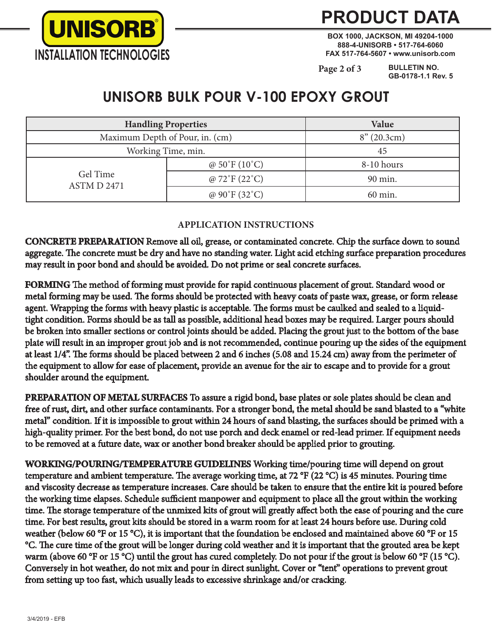

## **PRODUCT DATA**

**BOX 1000, JACKSON, MI 49204-1000 888-4-UNISORB • 517-764-6060 FAX 517-764-5607 • www.unisorb.com**

**Page 2 of 3**

**BULLETIN NO. GB-0178-1.1 Rev. 5**

### **UNISORB BULK POUR V-100 EPOXY GROUT**

| <b>Handling Properties</b>      |                                    | Value       |
|---------------------------------|------------------------------------|-------------|
| Maximum Depth of Pour, in. (cm) |                                    | 8''(20.3cm) |
| Working Time, min.              |                                    | 45          |
| Gel Time<br>ASTM D 2471         | @ $50^{\circ}$ F (10 $^{\circ}$ C) | 8-10 hours  |
|                                 | @ $72^{\circ}F(22^{\circ}C)$       | 90 min.     |
|                                 | @ $90^{\circ}F(32^{\circ}C)$       | 60 min.     |

### **APPLICATION INSTRUCTIONS**

**CONCRETE PREPARATION** Remove all oil, grease, or contaminated concrete. Chip the surface down to sound aggregate. The concrete must be dry and have no standing water. Light acid etching surface preparation procedures may result in poor bond and should be avoided. Do not prime or seal concrete surfaces.

**FORMING** The method of forming must provide for rapid continuous placement of grout. Standard wood or metal forming may be used. The forms should be protected with heavy coats of paste wax, grease, or form release agent. Wrapping the forms with heavy plastic is acceptable. The forms must be caulked and sealed to a liquidtight condition. Forms should be as tall as possible, additional head boxes may be required. Larger pours should be broken into smaller sections or control joints should be added. Placing the grout just to the bottom of the base plate will result in an improper grout job and is not recommended, continue pouring up the sides of the equipment at least 1/4". The forms should be placed between 2 and 6 inches (5.08 and 15.24 cm) away from the perimeter of the equipment to allow for ease of placement, provide an avenue for the air to escape and to provide for a grout shoulder around the equipment.

**PREPARATION OF METAL SURFACES** To assure a rigid bond, base plates or sole plates should be clean and free of rust, dirt, and other surface contaminants. For a stronger bond, the metal should be sand blasted to a "white metal" condition. If it is impossible to grout within 24 hours of sand blasting, the surfaces should be primed with a high-quality primer. For the best bond, do not use porch and deck enamel or red-lead primer. If equipment needs to be removed at a future date, wax or another bond breaker should be applied prior to grouting.

**WORKING/POURING/TEMPERATURE GUIDELINES** Working time/pouring time will depend on grout temperature and ambient temperature. The average working time, at 72 °F (22 °C) is 45 minutes. Pouring time and viscosity decrease as temperature increases. Care should be taken to ensure that the entire kit is poured before the working time elapses. Schedule sufficient manpower and equipment to place all the grout within the working time. The storage temperature of the unmixed kits of grout will greatly affect both the ease of pouring and the cure time. For best results, grout kits should be stored in a warm room for at least 24 hours before use. During cold weather (below 60 °F or 15 °C), it is important that the foundation be enclosed and maintained above 60 °F or 15 °C. The cure time of the grout will be longer during cold weather and it is important that the grouted area be kept warm (above 60 °F or 15 °C) until the grout has cured completely. Do not pour if the grout is below 60 °F (15 °C). Conversely in hot weather, do not mix and pour in direct sunlight. Cover or "tent" operations to prevent grout from setting up too fast, which usually leads to excessive shrinkage and/or cracking.